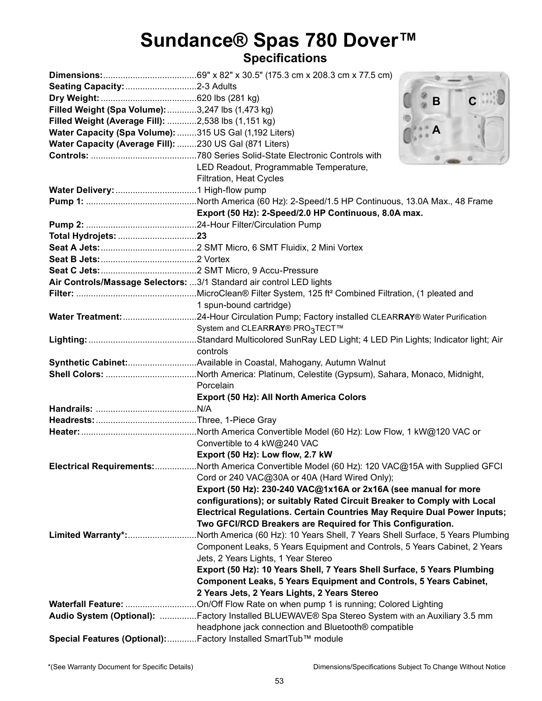# Sundance® Spas 780 Dover<sup>™</sup><br><sub>Specifications</sub>

|                                                                   | B                                                                                                                                                      |  |  |  |
|-------------------------------------------------------------------|--------------------------------------------------------------------------------------------------------------------------------------------------------|--|--|--|
| Filled Weight (Spa Volume): 3,247 lbs (1,473 kg)                  |                                                                                                                                                        |  |  |  |
| Filled Weight (Average Fill): 2,538 lbs (1,151 kg)                |                                                                                                                                                        |  |  |  |
| Water Capacity (Spa Volume): 315 US Gal (1,192 Liters)            |                                                                                                                                                        |  |  |  |
| Water Capacity (Average Fill): 230 US Gal (871 Liters)            |                                                                                                                                                        |  |  |  |
|                                                                   |                                                                                                                                                        |  |  |  |
|                                                                   | LED Readout, Programmable Temperature,                                                                                                                 |  |  |  |
|                                                                   | Filtration, Heat Cycles                                                                                                                                |  |  |  |
|                                                                   |                                                                                                                                                        |  |  |  |
|                                                                   |                                                                                                                                                        |  |  |  |
|                                                                   | Export (50 Hz): 2-Speed/2.0 HP Continuous, 8.0A max.                                                                                                   |  |  |  |
|                                                                   |                                                                                                                                                        |  |  |  |
|                                                                   |                                                                                                                                                        |  |  |  |
|                                                                   |                                                                                                                                                        |  |  |  |
|                                                                   |                                                                                                                                                        |  |  |  |
|                                                                   |                                                                                                                                                        |  |  |  |
|                                                                   | Air Controls/Massage Selectors: 3/1 Standard air control LED lights                                                                                    |  |  |  |
|                                                                   |                                                                                                                                                        |  |  |  |
|                                                                   | 1 spun-bound cartridge)                                                                                                                                |  |  |  |
|                                                                   |                                                                                                                                                        |  |  |  |
|                                                                   | System and CLEARRAY® PRO3TECT™                                                                                                                         |  |  |  |
|                                                                   |                                                                                                                                                        |  |  |  |
|                                                                   | controls                                                                                                                                               |  |  |  |
|                                                                   |                                                                                                                                                        |  |  |  |
|                                                                   |                                                                                                                                                        |  |  |  |
|                                                                   | Porcelain                                                                                                                                              |  |  |  |
|                                                                   | Export (50 Hz): All North America Colors                                                                                                               |  |  |  |
|                                                                   |                                                                                                                                                        |  |  |  |
|                                                                   |                                                                                                                                                        |  |  |  |
|                                                                   |                                                                                                                                                        |  |  |  |
|                                                                   | Convertible to 4 kW@240 VAC                                                                                                                            |  |  |  |
|                                                                   | Export (50 Hz): Low flow, 2.7 kW                                                                                                                       |  |  |  |
|                                                                   | Electrical Requirements: North America Convertible Model (60 Hz): 120 VAC@15A with Supplied GFCI<br>Cord or 240 VAC@30A or 40A (Hard Wired Only);      |  |  |  |
|                                                                   |                                                                                                                                                        |  |  |  |
|                                                                   | Export (50 Hz): 230-240 VAC@1x16A or 2x16A (see manual for more                                                                                        |  |  |  |
|                                                                   | configurations); or suitably Rated Circuit Breaker to Comply with Local                                                                                |  |  |  |
|                                                                   | Electrical Regulations. Certain Countries May Require Dual Power Inputs;                                                                               |  |  |  |
|                                                                   | Two GFCI/RCD Breakers are Required for This Configuration.                                                                                             |  |  |  |
| Limited Warranty*:                                                | North America (60 Hz): 10 Years Shell, 7 Years Shell Surface, 5 Years Plumbing                                                                         |  |  |  |
|                                                                   | Component Leaks, 5 Years Equipment and Controls, 5 Years Cabinet, 2 Years                                                                              |  |  |  |
|                                                                   | Jets, 2 Years Lights, 1 Year Stereo<br>Export (50 Hz): 10 Years Shell, 7 Years Shell Surface, 5 Years Plumbing                                         |  |  |  |
|                                                                   |                                                                                                                                                        |  |  |  |
| Component Leaks, 5 Years Equipment and Controls, 5 Years Cabinet, |                                                                                                                                                        |  |  |  |
|                                                                   | 2 Years Jets, 2 Years Lights, 2 Years Stereo                                                                                                           |  |  |  |
|                                                                   |                                                                                                                                                        |  |  |  |
|                                                                   | Audio System (Optional): Factory Installed BLUEWAVE® Spa Stereo System with an Auxiliary 3.5 mm<br>headphone jack connection and Bluetooth® compatible |  |  |  |
|                                                                   | Special Features (Optional): Factory Installed SmartTub™ module                                                                                        |  |  |  |
|                                                                   |                                                                                                                                                        |  |  |  |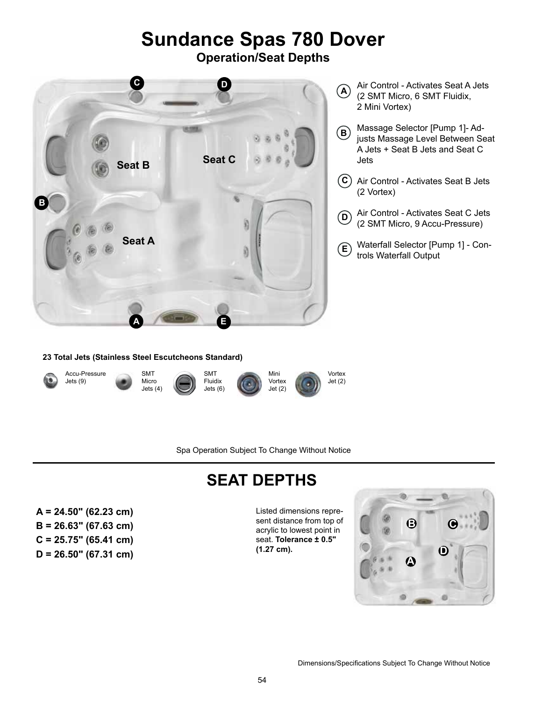# **Sundance Spas 780 Dover**

**Operation/Seat Depths**



- Air Control Activates Seat A Jets (2 SMT Micro, 6 SMT Fluidix, 2 Mini Vortex) **A**
- Massage Selector [Pump 1]- Adjusts Massage Level Between Seat A Jets + Seat B Jets and Seat C Jets **B**
- Air Control Activates Seat B Jets **C** (2 Vortex)
- Air Control Activates Seat C Jets (2 SMT Micro, 9 Accu-Pressure) **D**
- Waterfall Selector [Pump 1] Controls Waterfall Output **E**

#### **23 Total Jets (Stainless Steel Escutcheons Standard)**



Spa Operation Subject To Change Without Notice

## **SEAT DEPTHS**

**A = 24.50" (62.23 cm)** Listed dimensions repre-**B = 26.63" (67.63 cm) C = 25.75" (65.41 cm) D = 26.50" (67.31 cm)**

sent distance from top of acrylic to lowest point in seat. **Tolerance ± 0.5" (1.27 cm).**

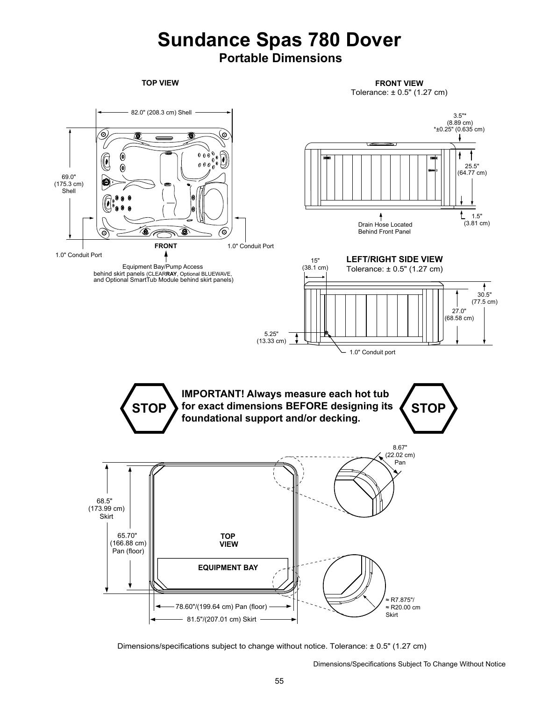### **Sundance Spas 780 Dover Portable Dimensions**

**TOP VIEW FRONT VIEW** Tolerance: ± 0.5" (1.27 cm)



Dimensions/specifications subject to change without notice. Tolerance: ± 0.5" (1.27 cm)

Dimensions/Specifications Subject To Change Without Notice